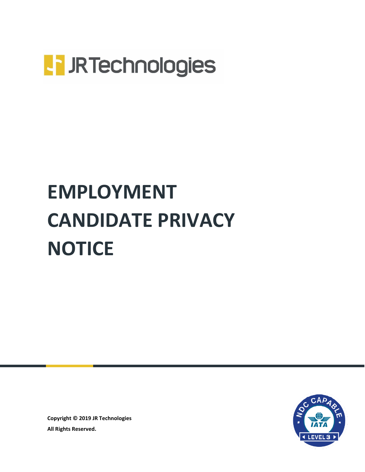

# **EMPLOYMENT CANDIDATE PRIVACY NOTICE**



**Copyright © 2019 JR Technologies All Rights Reserved.**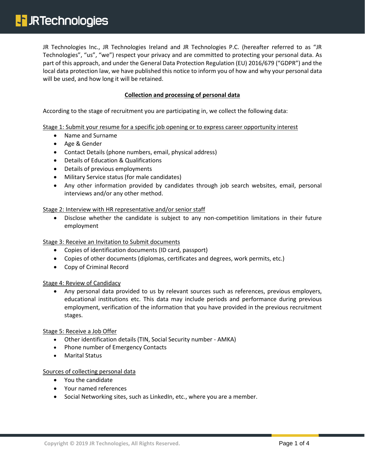JR Technologies Inc., JR Technologies Ireland and JR Technologies P.C. (hereafter referred to as "JR Technologies", "us", "we") respect your privacy and are committed to protecting your personal data. As part of this approach, and under the General Data Protection Regulation (EU) 2016/679 ("GDPR") and the local data protection law, we have published this notice to inform you of how and why your personal data will be used, and how long it will be retained.

## **Collection and processing of personal data**

According to the stage of recruitment you are participating in, we collect the following data:

Stage 1: Submit your resume for a specific job opening or to express career opportunity interest

- Name and Surname
- Age & Gender
- Contact Details (phone numbers, email, physical address)
- Details of Education & Qualifications
- Details of previous employments
- Military Service status (for male candidates)
- Any other information provided by candidates through job search websites, email, personal interviews and/or any other method.

Stage 2: Interview with HR representative and/or senior staff

 Disclose whether the candidate is subject to any non-competition limitations in their future employment

Stage 3: Receive an Invitation to Submit documents

- Copies of identification documents (ID card, passport)
- Copies of other documents (diplomas, certificates and degrees, work permits, etc.)
- Copy of Criminal Record

Stage 4: Review of Candidacy

 Any personal data provided to us by relevant sources such as references, previous employers, educational institutions etc. This data may include periods and performance during previous employment, verification of the information that you have provided in the previous recruitment stages.

Stage 5: Receive a Job Offer

- Other identification details (TIN, Social Security number AMKA)
- Phone number of Emergency Contacts
- Marital Status

#### Sources of collecting personal data

- You the candidate
- Your named references
- Social Networking sites, such as LinkedIn, etc., where you are a member.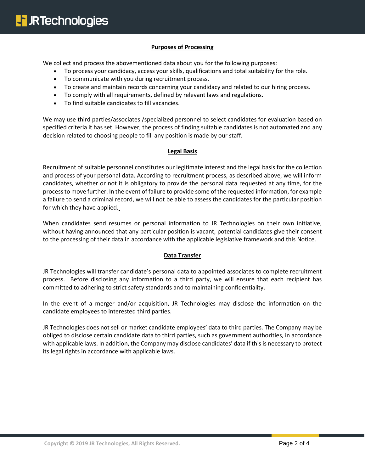### **Purposes of Processing**

We collect and process the abovementioned data about you for the following purposes:

- To process your candidacy, access your skills, qualifications and total suitability for the role.
- To communicate with you during recruitment process.
- To create and maintain records concerning your candidacy and related to our hiring process.
- To comply with all requirements, defined by relevant laws and regulations.
- To find suitable candidates to fill vacancies.

We may use third parties/associates /specialized personnel to select candidates for evaluation based on specified criteria it has set. However, the process of finding suitable candidates is not automated and any decision related to choosing people to fill any position is made by our staff.

#### **Legal Basis**

Recruitment of suitable personnel constitutes our legitimate interest and the legal basis for the collection and process of your personal data. According to recruitment process, as described above, we will inform candidates, whether or not it is obligatory to provide the personal data requested at any time, for the process to move further. In the event of failure to provide some of the requested information, for example a failure to send a criminal record, we will not be able to assess the candidates for the particular position for which they have applied.

When candidates send resumes or personal information to JR Technologies on their own initiative, without having announced that any particular position is vacant, potential candidates give their consent to the processing of their data in accordance with the applicable legislative framework and this Notice.

#### **Data Transfer**

JR Technologies will transfer candidate's personal data to appointed associates to complete recruitment process. Before disclosing any information to a third party, we will ensure that each recipient has committed to adhering to strict safety standards and to maintaining confidentiality.

In the event of a merger and/or acquisition, JR Technologies may disclose the information on the candidate employees to interested third parties.

JR Technologies does not sell or market candidate employees' data to third parties. The Company may be obliged to disclose certain candidate data to third parties, such as government authorities, in accordance with applicable laws. In addition, the Company may disclose candidates' data if this is necessary to protect its legal rights in accordance with applicable laws.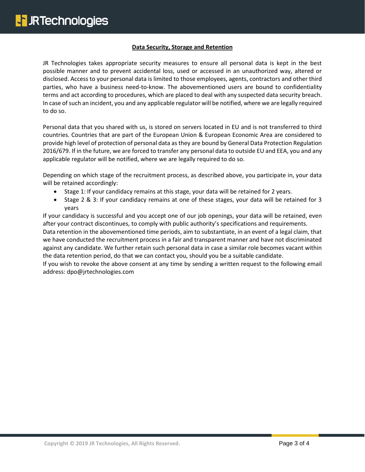#### **Data Security, Storage and Retention**

JR Technologies takes appropriate security measures to ensure all personal data is kept in the best possible manner and to prevent accidental loss, used or accessed in an unauthorized way, altered or disclosed. Access to your personal data is limited to those employees, agents, contractors and other third parties, who have a business need-to-know. The abovementioned users are bound to confidentiality terms and act according to procedures, which are placed to deal with any suspected data security breach. In case of such an incident, you and any applicable regulator will be notified, where we are legally required to do so.

Personal data that you shared with us, is stored on servers located in EU and is not transferred to third countries. Countries that are part of the European Union & European Economic Area are considered to provide high level of protection of personal data as they are bound by General Data Protection Regulation 2016/679. If in the future, we are forced to transfer any personal data to outside EU and EEA, you and any applicable regulator will be notified, where we are legally required to do so.

Depending on which stage of the recruitment process, as described above, you participate in, your data will be retained accordingly:

- Stage 1: If your candidacy remains at this stage, your data will be retained for 2 years.
- Stage 2 & 3: If your candidacy remains at one of these stages, your data will be retained for 3 years

If your candidacy is successful and you accept one of our job openings, your data will be retained, even after your contract discontinues, to comply with public authority's specifications and requirements.

Data retention in the abovementioned time periods, aim to substantiate, in an event of a legal claim, that we have conducted the recruitment process in a fair and transparent manner and have not discriminated against any candidate. We further retain such personal data in case a similar role becomes vacant within the data retention period, do that we can contact you, should you be a suitable candidate.

If you wish to revoke the above consent at any time by sending a written request to the following email address: dpo@jrtechnologies.com